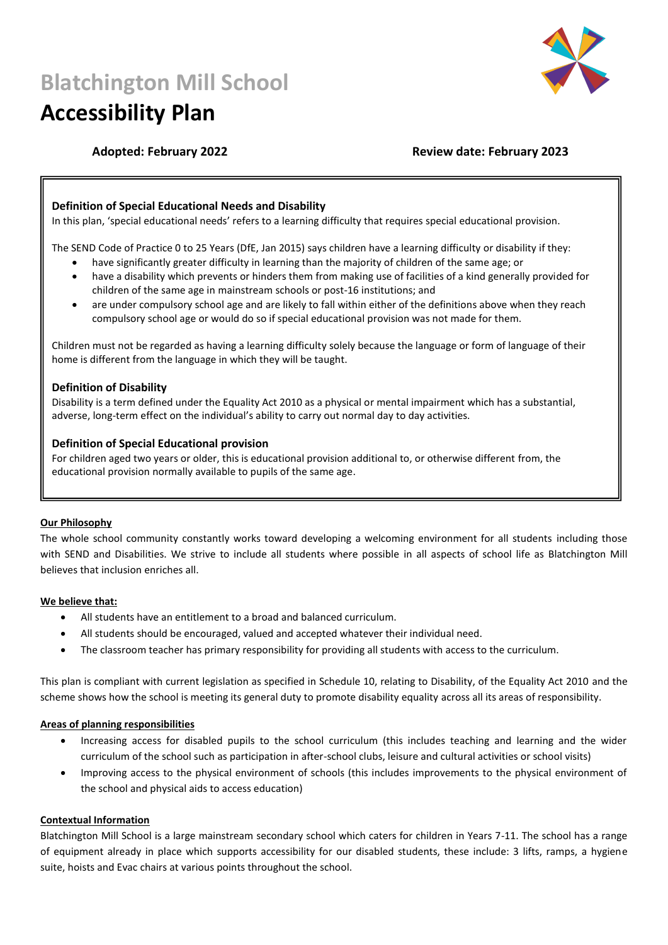# **Blatchington Mill School**

## **Accessibility Plan**



### **Adopted: February 2022 Review date: February 2023**

#### **Definition of Special Educational Needs and Disability**

In this plan, 'special educational needs' refers to a learning difficulty that requires special educational provision.

The SEND Code of Practice 0 to 25 Years (DfE, Jan 2015) says children have a learning difficulty or disability if they:

- have significantly greater difficulty in learning than the majority of children of the same age; or
- have a disability which prevents or hinders them from making use of facilities of a kind generally provided for children of the same age in mainstream schools or post-16 institutions; and
- are under compulsory school age and are likely to fall within either of the definitions above when they reach compulsory school age or would do so if special educational provision was not made for them.

Children must not be regarded as having a learning difficulty solely because the language or form of language of their home is different from the language in which they will be taught.

#### **Definition of Disability**

Disability is a term defined under the Equality Act 2010 as a physical or mental impairment which has a substantial, adverse, long-term effect on the individual's ability to carry out normal day to day activities.

#### **Definition of Special Educational provision**

For children aged two years or older, this is educational provision additional to, or otherwise different from, the educational provision normally available to pupils of the same age.

#### **Our Philosophy**

The whole school community constantly works toward developing a welcoming environment for all students including those with SEND and Disabilities. We strive to include all students where possible in all aspects of school life as Blatchington Mill believes that inclusion enriches all.

#### **We believe that:**

- All students have an entitlement to a broad and balanced curriculum.
- All students should be encouraged, valued and accepted whatever their individual need.
- The classroom teacher has primary responsibility for providing all students with access to the curriculum.

This plan is compliant with current legislation as specified in Schedule 10, relating to Disability, of the Equality Act 2010 and the scheme shows how the school is meeting its general duty to promote disability equality across all its areas of responsibility.

#### **Areas of planning responsibilities**

- Increasing access for disabled pupils to the school curriculum (this includes teaching and learning and the wider curriculum of the school such as participation in after-school clubs, leisure and cultural activities or school visits)
- Improving access to the physical environment of schools (this includes improvements to the physical environment of the school and physical aids to access education)

#### **Contextual Information**

Blatchington Mill School is a large mainstream secondary school which caters for children in Years 7-11. The school has a range of equipment already in place which supports accessibility for our disabled students, these include: 3 lifts, ramps, a hygiene suite, hoists and Evac chairs at various points throughout the school.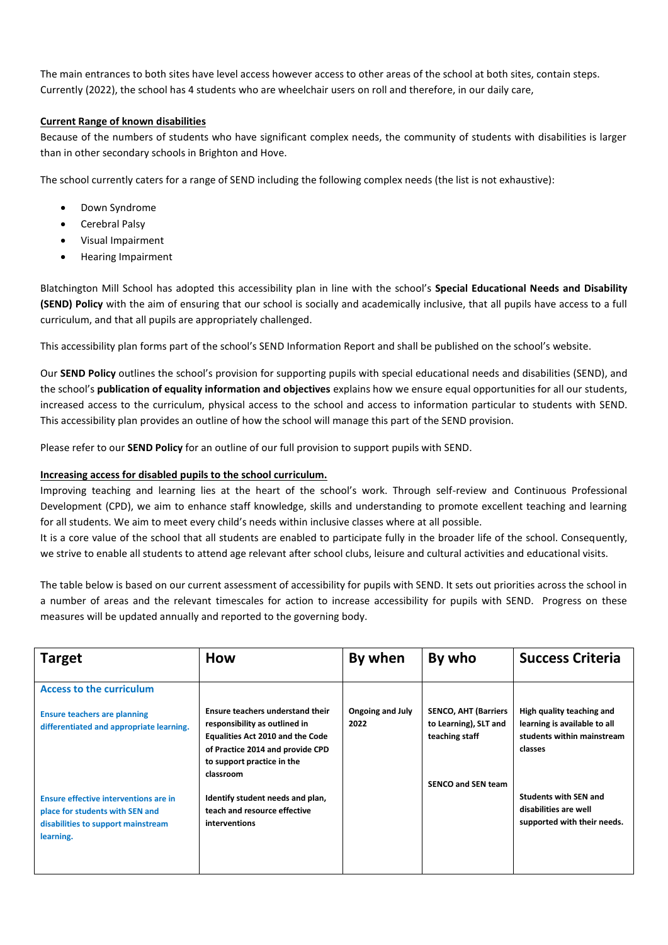The main entrances to both sites have level access however access to other areas of the school at both sites, contain steps. Currently (2022), the school has 4 students who are wheelchair users on roll and therefore, in our daily care,

#### **Current Range of known disabilities**

Because of the numbers of students who have significant complex needs, the community of students with disabilities is larger than in other secondary schools in Brighton and Hove.

The school currently caters for a range of SEND including the following complex needs (the list is not exhaustive):

- Down Syndrome
- Cerebral Palsy
- Visual Impairment
- Hearing Impairment

Blatchington Mill School has adopted this accessibility plan in line with the school's **Special Educational Needs and Disability (SEND) Policy** with the aim of ensuring that our school is socially and academically inclusive, that all pupils have access to a full curriculum, and that all pupils are appropriately challenged.

This accessibility plan forms part of the school's SEND Information Report and shall be published on the school's website.

Our **SEND Policy** outlines the school's provision for supporting pupils with special educational needs and disabilities (SEND), and the school's **publication of equality information and objectives** explains how we ensure equal opportunities for all our students, increased access to the curriculum, physical access to the school and access to information particular to students with SEND. This accessibility plan provides an outline of how the school will manage this part of the SEND provision.

Please refer to our **SEND Policy** for an outline of our full provision to support pupils with SEND.

#### **Increasing access for disabled pupils to the school curriculum.**

Improving teaching and learning lies at the heart of the school's work. Through self-review and Continuous Professional Development (CPD), we aim to enhance staff knowledge, skills and understanding to promote excellent teaching and learning for all students. We aim to meet every child's needs within inclusive classes where at all possible.

It is a core value of the school that all students are enabled to participate fully in the broader life of the school. Consequently, we strive to enable all students to attend age relevant after school clubs, leisure and cultural activities and educational visits.

The table below is based on our current assessment of accessibility for pupils with SEND. It sets out priorities across the school in a number of areas and the relevant timescales for action to increase accessibility for pupils with SEND. Progress on these measures will be updated annually and reported to the governing body.

| <b>Target</b>                                                                                                               | <b>How</b>                                                                                                                                                                                  | By when                  | By who                                                                                              | <b>Success Criteria</b>                                                                            |
|-----------------------------------------------------------------------------------------------------------------------------|---------------------------------------------------------------------------------------------------------------------------------------------------------------------------------------------|--------------------------|-----------------------------------------------------------------------------------------------------|----------------------------------------------------------------------------------------------------|
| <b>Access to the curriculum</b>                                                                                             |                                                                                                                                                                                             |                          |                                                                                                     |                                                                                                    |
| <b>Ensure teachers are planning</b><br>differentiated and appropriate learning.                                             | Ensure teachers understand their<br>responsibility as outlined in<br><b>Equalities Act 2010 and the Code</b><br>of Practice 2014 and provide CPD<br>to support practice in the<br>classroom | Ongoing and July<br>2022 | <b>SENCO, AHT (Barriers</b><br>to Learning), SLT and<br>teaching staff<br><b>SENCO and SEN team</b> | High quality teaching and<br>learning is available to all<br>students within mainstream<br>classes |
| Ensure effective interventions are in<br>place for students with SEN and<br>disabilities to support mainstream<br>learning. | Identify student needs and plan,<br>teach and resource effective<br>interventions                                                                                                           |                          |                                                                                                     | <b>Students with SEN and</b><br>disabilities are well<br>supported with their needs.               |